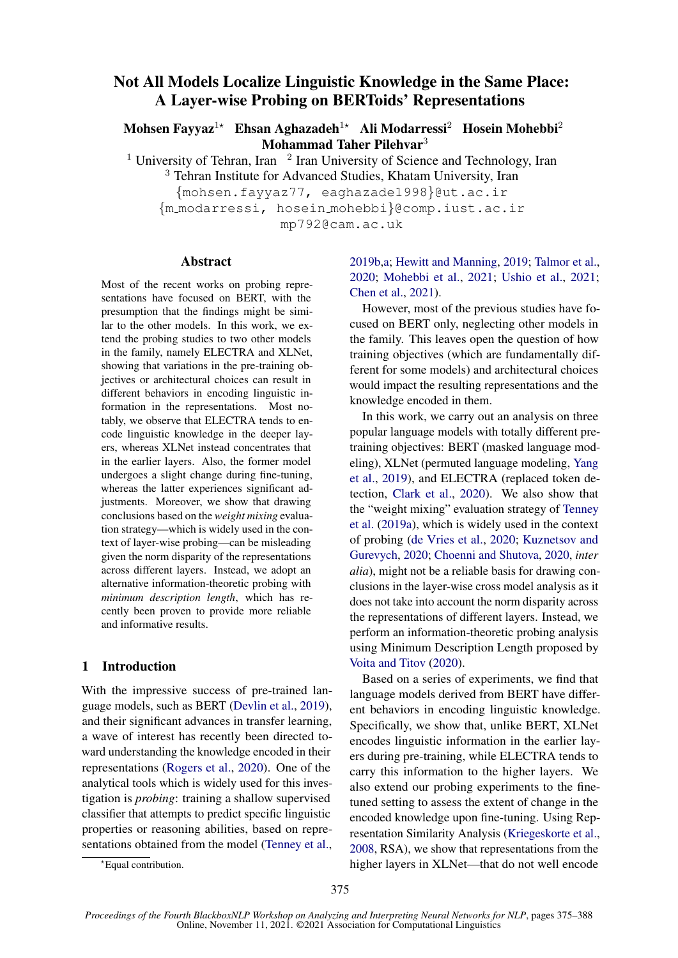# Not All Models Localize Linguistic Knowledge in the Same Place: A Layer-wise Probing on BERToids' Representations

Mohsen Fayyaz<sup>1\*</sup> Ehsan Aghazadeh<sup>1\*</sup> Ali Modarressi<sup>2</sup> Hosein Mohebbi<sup>2</sup> Mohammad Taher Pilehvar<sup>3</sup>

<sup>1</sup> University of Tehran, Iran  $\frac{1}{2}$  Iran University of Science and Technology, Iran <sup>3</sup> Tehran Institute for Advanced Studies, Khatam University, Iran

{mohsen.fayyaz77, eaghazade1998}@ut.ac.ir {m modarressi, hosein mohebbi}@comp.iust.ac.ir

mp792@cam.ac.uk

### Abstract

Most of the recent works on probing representations have focused on BERT, with the presumption that the findings might be similar to the other models. In this work, we extend the probing studies to two other models in the family, namely ELECTRA and XLNet, showing that variations in the pre-training objectives or architectural choices can result in different behaviors in encoding linguistic information in the representations. Most notably, we observe that ELECTRA tends to encode linguistic knowledge in the deeper layers, whereas XLNet instead concentrates that in the earlier layers. Also, the former model undergoes a slight change during fine-tuning, whereas the latter experiences significant adjustments. Moreover, we show that drawing conclusions based on the *weight mixing* evaluation strategy—which is widely used in the context of layer-wise probing—can be misleading given the norm disparity of the representations across different layers. Instead, we adopt an alternative information-theoretic probing with *minimum description length*, which has recently been proven to provide more reliable and informative results.

# 1 Introduction

With the impressive success of pre-trained language models, such as BERT [\(Devlin et al.,](#page-8-0) [2019\)](#page-8-0), and their significant advances in transfer learning, a wave of interest has recently been directed toward understanding the knowledge encoded in their representations [\(Rogers et al.,](#page-9-0) [2020\)](#page-9-0). One of the analytical tools which is widely used for this investigation is *probing*: training a shallow supervised classifier that attempts to predict specific linguistic properties or reasoning abilities, based on representations obtained from the model [\(Tenney et al.,](#page-9-1)

# [2019b](#page-9-1)[,a;](#page-9-2) [Hewitt and Manning,](#page-8-1) [2019;](#page-8-1) [Talmor et al.,](#page-9-3) [2020;](#page-9-3) [Mohebbi et al.,](#page-9-4) [2021;](#page-9-4) [Ushio et al.,](#page-9-5) [2021;](#page-9-5) [Chen et al.,](#page-8-2) [2021\)](#page-8-2).

However, most of the previous studies have focused on BERT only, neglecting other models in the family. This leaves open the question of how training objectives (which are fundamentally different for some models) and architectural choices would impact the resulting representations and the knowledge encoded in them.

In this work, we carry out an analysis on three popular language models with totally different pretraining objectives: BERT (masked language modeling), XLNet (permuted language modeling, [Yang](#page-10-0) [et al.,](#page-10-0) [2019\)](#page-10-0), and ELECTRA (replaced token detection, [Clark et al.,](#page-8-3) [2020\)](#page-8-3). We also show that the "weight mixing" evaluation strategy of [Tenney](#page-9-2) [et al.](#page-9-2) [\(2019a\)](#page-9-2), which is widely used in the context of probing [\(de Vries et al.,](#page-9-6) [2020;](#page-9-6) [Kuznetsov and](#page-8-4) [Gurevych,](#page-8-4) [2020;](#page-8-4) [Choenni and Shutova,](#page-8-5) [2020,](#page-8-5) *inter alia*), might not be a reliable basis for drawing conclusions in the layer-wise cross model analysis as it does not take into account the norm disparity across the representations of different layers. Instead, we perform an information-theoretic probing analysis using Minimum Description Length proposed by [Voita and Titov](#page-9-7) [\(2020\)](#page-9-7).

Based on a series of experiments, we find that language models derived from BERT have different behaviors in encoding linguistic knowledge. Specifically, we show that, unlike BERT, XLNet encodes linguistic information in the earlier layers during pre-training, while ELECTRA tends to carry this information to the higher layers. We also extend our probing experiments to the finetuned setting to assess the extent of change in the encoded knowledge upon fine-tuning. Using Representation Similarity Analysis [\(Kriegeskorte et al.,](#page-8-6) [2008,](#page-8-6) RSA), we show that representations from the higher layers in XLNet—that do not well encode

<sup>\*</sup>Equal contribution.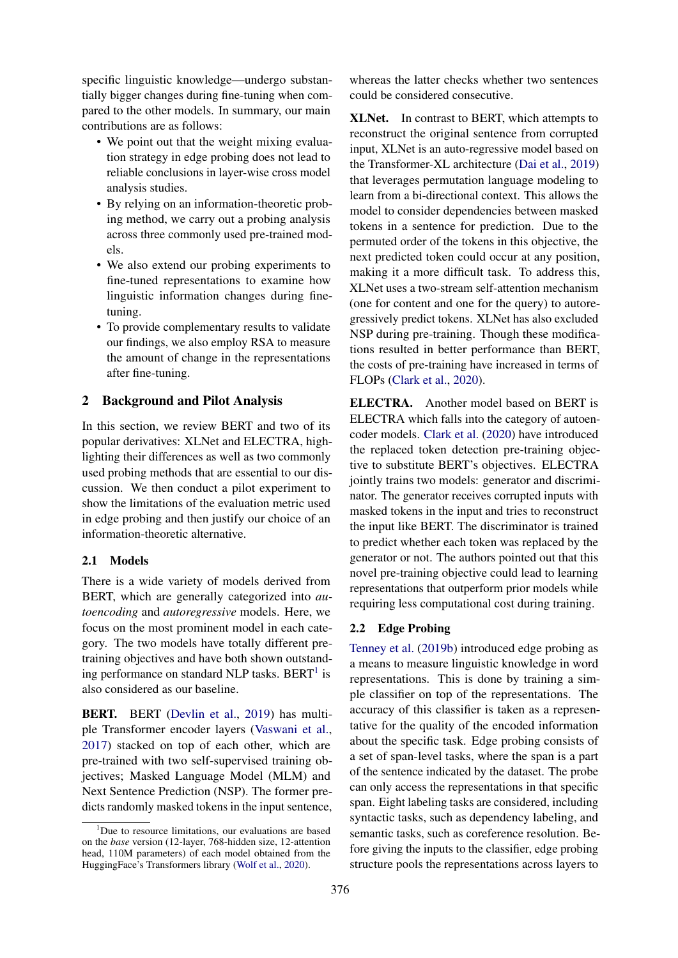specific linguistic knowledge—undergo substantially bigger changes during fine-tuning when compared to the other models. In summary, our main contributions are as follows:

- We point out that the weight mixing evaluation strategy in edge probing does not lead to reliable conclusions in layer-wise cross model analysis studies.
- By relying on an information-theoretic probing method, we carry out a probing analysis across three commonly used pre-trained models.
- We also extend our probing experiments to fine-tuned representations to examine how linguistic information changes during finetuning.
- To provide complementary results to validate our findings, we also employ RSA to measure the amount of change in the representations after fine-tuning.

# 2 Background and Pilot Analysis

In this section, we review BERT and two of its popular derivatives: XLNet and ELECTRA, highlighting their differences as well as two commonly used probing methods that are essential to our discussion. We then conduct a pilot experiment to show the limitations of the evaluation metric used in edge probing and then justify our choice of an information-theoretic alternative.

# 2.1 Models

There is a wide variety of models derived from BERT, which are generally categorized into *autoencoding* and *autoregressive* models. Here, we focus on the most prominent model in each category. The two models have totally different pretraining objectives and have both shown outstand-ing performance on standard NLP tasks. BERT<sup>[1](#page-1-0)</sup> is also considered as our baseline.

BERT. BERT [\(Devlin et al.,](#page-8-0) [2019\)](#page-8-0) has multiple Transformer encoder layers [\(Vaswani et al.,](#page-9-8) [2017\)](#page-9-8) stacked on top of each other, which are pre-trained with two self-supervised training objectives; Masked Language Model (MLM) and Next Sentence Prediction (NSP). The former predicts randomly masked tokens in the input sentence, whereas the latter checks whether two sentences could be considered consecutive.

XLNet. In contrast to BERT, which attempts to reconstruct the original sentence from corrupted input, XLNet is an auto-regressive model based on the Transformer-XL architecture [\(Dai et al.,](#page-8-7) [2019\)](#page-8-7) that leverages permutation language modeling to learn from a bi-directional context. This allows the model to consider dependencies between masked tokens in a sentence for prediction. Due to the permuted order of the tokens in this objective, the next predicted token could occur at any position, making it a more difficult task. To address this, XLNet uses a two-stream self-attention mechanism (one for content and one for the query) to autoregressively predict tokens. XLNet has also excluded NSP during pre-training. Though these modifications resulted in better performance than BERT, the costs of pre-training have increased in terms of FLOPs [\(Clark et al.,](#page-8-3) [2020\)](#page-8-3).

ELECTRA. Another model based on BERT is ELECTRA which falls into the category of autoencoder models. [Clark et al.](#page-8-3) [\(2020\)](#page-8-3) have introduced the replaced token detection pre-training objective to substitute BERT's objectives. ELECTRA jointly trains two models: generator and discriminator. The generator receives corrupted inputs with masked tokens in the input and tries to reconstruct the input like BERT. The discriminator is trained to predict whether each token was replaced by the generator or not. The authors pointed out that this novel pre-training objective could lead to learning representations that outperform prior models while requiring less computational cost during training.

# 2.2 Edge Probing

[Tenney et al.](#page-9-1) [\(2019b\)](#page-9-1) introduced edge probing as a means to measure linguistic knowledge in word representations. This is done by training a simple classifier on top of the representations. The accuracy of this classifier is taken as a representative for the quality of the encoded information about the specific task. Edge probing consists of a set of span-level tasks, where the span is a part of the sentence indicated by the dataset. The probe can only access the representations in that specific span. Eight labeling tasks are considered, including syntactic tasks, such as dependency labeling, and semantic tasks, such as coreference resolution. Before giving the inputs to the classifier, edge probing structure pools the representations across layers to

<span id="page-1-0"></span> $1$ Due to resource limitations, our evaluations are based on the *base* version (12-layer, 768-hidden size, 12-attention head, 110M parameters) of each model obtained from the HuggingFace's Transformers library [\(Wolf et al.,](#page-10-1) [2020\)](#page-10-1).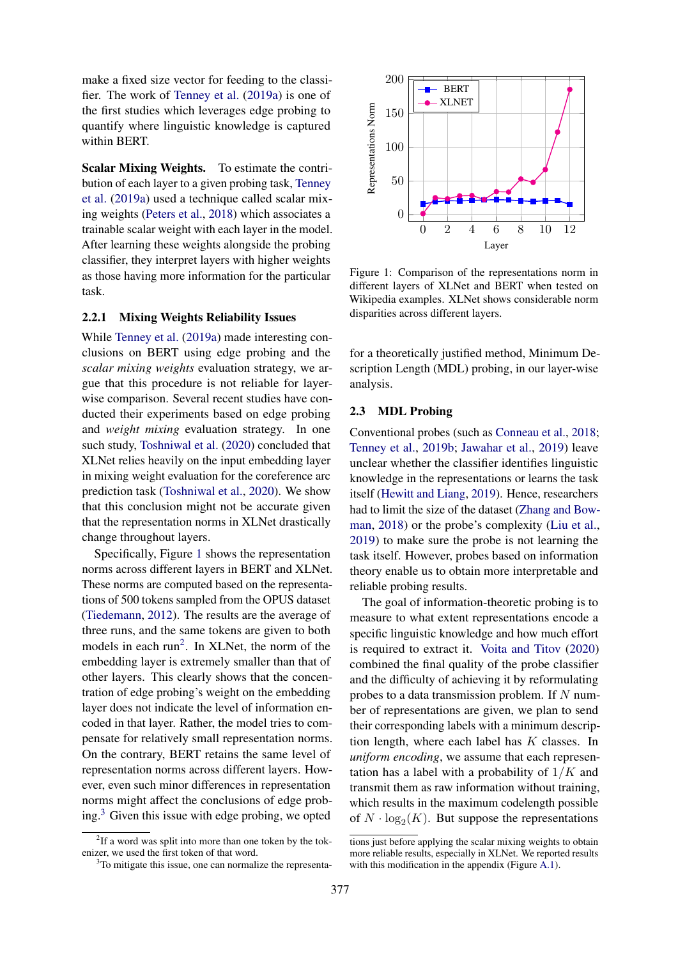make a fixed size vector for feeding to the classifier. The work of [Tenney et al.](#page-9-2) [\(2019a\)](#page-9-2) is one of the first studies which leverages edge probing to quantify where linguistic knowledge is captured within BERT.

Scalar Mixing Weights. To estimate the contribution of each layer to a given probing task, [Tenney](#page-9-2) [et al.](#page-9-2) [\(2019a\)](#page-9-2) used a technique called scalar mixing weights [\(Peters et al.,](#page-9-9) [2018\)](#page-9-9) which associates a trainable scalar weight with each layer in the model. After learning these weights alongside the probing classifier, they interpret layers with higher weights as those having more information for the particular task.

# 2.2.1 Mixing Weights Reliability Issues

While [Tenney et al.](#page-9-2) [\(2019a\)](#page-9-2) made interesting conclusions on BERT using edge probing and the *scalar mixing weights* evaluation strategy, we argue that this procedure is not reliable for layerwise comparison. Several recent studies have conducted their experiments based on edge probing and *weight mixing* evaluation strategy. In one such study, [Toshniwal et al.](#page-9-10) [\(2020\)](#page-9-10) concluded that XLNet relies heavily on the input embedding layer in mixing weight evaluation for the coreference arc prediction task [\(Toshniwal et al.,](#page-9-10) [2020\)](#page-9-10). We show that this conclusion might not be accurate given that the representation norms in XLNet drastically change throughout layers.

Specifically, Figure [1](#page-2-0) shows the representation norms across different layers in BERT and XLNet. These norms are computed based on the representations of 500 tokens sampled from the OPUS dataset [\(Tiedemann,](#page-9-11) [2012\)](#page-9-11). The results are the average of three runs, and the same tokens are given to both models in each run<sup>[2](#page-2-1)</sup>. In XLNet, the norm of the embedding layer is extremely smaller than that of other layers. This clearly shows that the concentration of edge probing's weight on the embedding layer does not indicate the level of information encoded in that layer. Rather, the model tries to compensate for relatively small representation norms. On the contrary, BERT retains the same level of representation norms across different layers. However, even such minor differences in representation norms might affect the conclusions of edge probing. $3$  Given this issue with edge probing, we opted

<span id="page-2-0"></span>

Figure 1: Comparison of the representations norm in different layers of XLNet and BERT when tested on Wikipedia examples. XLNet shows considerable norm disparities across different layers.

for a theoretically justified method, Minimum Description Length (MDL) probing, in our layer-wise analysis.

#### 2.3 MDL Probing

Conventional probes (such as [Conneau et al.,](#page-8-8) [2018;](#page-8-8) [Tenney et al.,](#page-9-1) [2019b;](#page-9-1) [Jawahar et al.,](#page-8-9) [2019\)](#page-8-9) leave unclear whether the classifier identifies linguistic knowledge in the representations or learns the task itself [\(Hewitt and Liang,](#page-8-10) [2019\)](#page-8-10). Hence, researchers had to limit the size of the dataset [\(Zhang and Bow](#page-10-2)[man,](#page-10-2) [2018\)](#page-10-2) or the probe's complexity [\(Liu et al.,](#page-8-11) [2019\)](#page-8-11) to make sure the probe is not learning the task itself. However, probes based on information theory enable us to obtain more interpretable and reliable probing results.

The goal of information-theoretic probing is to measure to what extent representations encode a specific linguistic knowledge and how much effort is required to extract it. [Voita and Titov](#page-9-7) [\(2020\)](#page-9-7) combined the final quality of the probe classifier and the difficulty of achieving it by reformulating probes to a data transmission problem. If  $N$  number of representations are given, we plan to send their corresponding labels with a minimum description length, where each label has  $K$  classes. In *uniform encoding*, we assume that each representation has a label with a probability of  $1/K$  and transmit them as raw information without training, which results in the maximum codelength possible of  $N \cdot \log_2(K)$ . But suppose the representations

<span id="page-2-1"></span><sup>&</sup>lt;sup>2</sup>If a word was split into more than one token by the tokenizer, we used the first token of that word.

<span id="page-2-2"></span><sup>&</sup>lt;sup>3</sup>To mitigate this issue, one can normalize the representa-

tions just before applying the scalar mixing weights to obtain more reliable results, especially in XLNet. We reported results with this modification in the appendix (Figure [A.1\)](#page-11-0).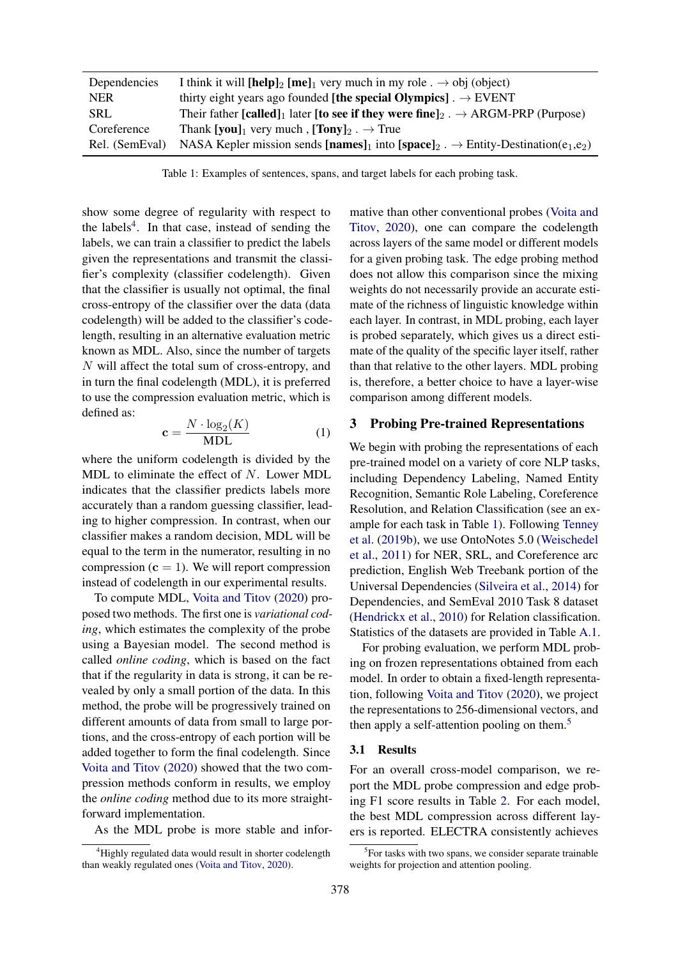<span id="page-3-1"></span>

| Dependencies   | I think it will [help] <sub>2</sub> [me] <sub>1</sub> very much in my role . $\rightarrow$ obj (object)                         |
|----------------|---------------------------------------------------------------------------------------------------------------------------------|
| <b>NER</b>     | thirty eight years ago founded [the special Olympics]. $\rightarrow$ EVENT                                                      |
| <b>SRL</b>     | Their father [called] <sub>1</sub> later [to see if they were fine] <sub>2</sub> . $\rightarrow$ ARGM-PRP (Purpose)             |
| Coreference    | Thank [you] <sub>1</sub> very much, [Tony] <sub>2</sub> . $\rightarrow$ True                                                    |
| Rel. (SemEval) | NASA Kepler mission sends [names] <sub>1</sub> into [space] <sub>2</sub> . $\rightarrow$ Entity-Destination(e <sub>1,e2</sub> ) |

Table 1: Examples of sentences, spans, and target labels for each probing task.

show some degree of regularity with respect to the labels<sup>[4](#page-3-0)</sup>. In that case, instead of sending the labels, we can train a classifier to predict the labels given the representations and transmit the classifier's complexity (classifier codelength). Given that the classifier is usually not optimal, the final cross-entropy of the classifier over the data (data codelength) will be added to the classifier's codelength, resulting in an alternative evaluation metric known as MDL. Also, since the number of targets N will affect the total sum of cross-entropy, and in turn the final codelength (MDL), it is preferred to use the compression evaluation metric, which is defined as:

$$
\mathbf{c} = \frac{N \cdot \log_2(K)}{\text{MDL}} \tag{1}
$$

where the uniform codelength is divided by the MDL to eliminate the effect of N. Lower MDL indicates that the classifier predicts labels more accurately than a random guessing classifier, leading to higher compression. In contrast, when our classifier makes a random decision, MDL will be equal to the term in the numerator, resulting in no compression  $(c = 1)$ . We will report compression instead of codelength in our experimental results.

To compute MDL, [Voita and Titov](#page-9-7) [\(2020\)](#page-9-7) proposed two methods. The first one is *variational coding*, which estimates the complexity of the probe using a Bayesian model. The second method is called *online coding*, which is based on the fact that if the regularity in data is strong, it can be revealed by only a small portion of the data. In this method, the probe will be progressively trained on different amounts of data from small to large portions, and the cross-entropy of each portion will be added together to form the final codelength. Since [Voita and Titov](#page-9-7) [\(2020\)](#page-9-7) showed that the two compression methods conform in results, we employ the *online coding* method due to its more straightforward implementation.

As the MDL probe is more stable and infor-

mative than other conventional probes [\(Voita and](#page-9-7) [Titov,](#page-9-7) [2020\)](#page-9-7), one can compare the codelength across layers of the same model or different models for a given probing task. The edge probing method does not allow this comparison since the mixing weights do not necessarily provide an accurate estimate of the richness of linguistic knowledge within each layer. In contrast, in MDL probing, each layer is probed separately, which gives us a direct estimate of the quality of the specific layer itself, rather than that relative to the other layers. MDL probing is, therefore, a better choice to have a layer-wise comparison among different models.

### <span id="page-3-3"></span>3 Probing Pre-trained Representations

We begin with probing the representations of each pre-trained model on a variety of core NLP tasks, including Dependency Labeling, Named Entity Recognition, Semantic Role Labeling, Coreference Resolution, and Relation Classification (see an example for each task in Table [1\)](#page-3-1). Following [Tenney](#page-9-1) [et al.](#page-9-1) [\(2019b\)](#page-9-1), we use OntoNotes 5.0 [\(Weischedel](#page-9-12) [et al.,](#page-9-12) [2011\)](#page-9-12) for NER, SRL, and Coreference arc prediction, English Web Treebank portion of the Universal Dependencies [\(Silveira et al.,](#page-9-13) [2014\)](#page-9-13) for Dependencies, and SemEval 2010 Task 8 dataset [\(Hendrickx et al.,](#page-8-12) [2010\)](#page-8-12) for Relation classification. Statistics of the datasets are provided in Table [A.1.](#page-12-0)

For probing evaluation, we perform MDL probing on frozen representations obtained from each model. In order to obtain a fixed-length representation, following [Voita and Titov](#page-9-7) [\(2020\)](#page-9-7), we project the representations to 256-dimensional vectors, and then apply a self-attention pooling on them.<sup>[5](#page-3-2)</sup>

#### 3.1 Results

For an overall cross-model comparison, we report the MDL probe compression and edge probing F1 score results in Table [2.](#page-4-0) For each model, the best MDL compression across different layers is reported. ELECTRA consistently achieves

<span id="page-3-0"></span><sup>&</sup>lt;sup>4</sup>Highly regulated data would result in shorter codelength than weakly regulated ones [\(Voita and Titov,](#page-9-7) [2020\)](#page-9-7).

<span id="page-3-2"></span><sup>&</sup>lt;sup>5</sup>For tasks with two spans, we consider separate trainable weights for projection and attention pooling.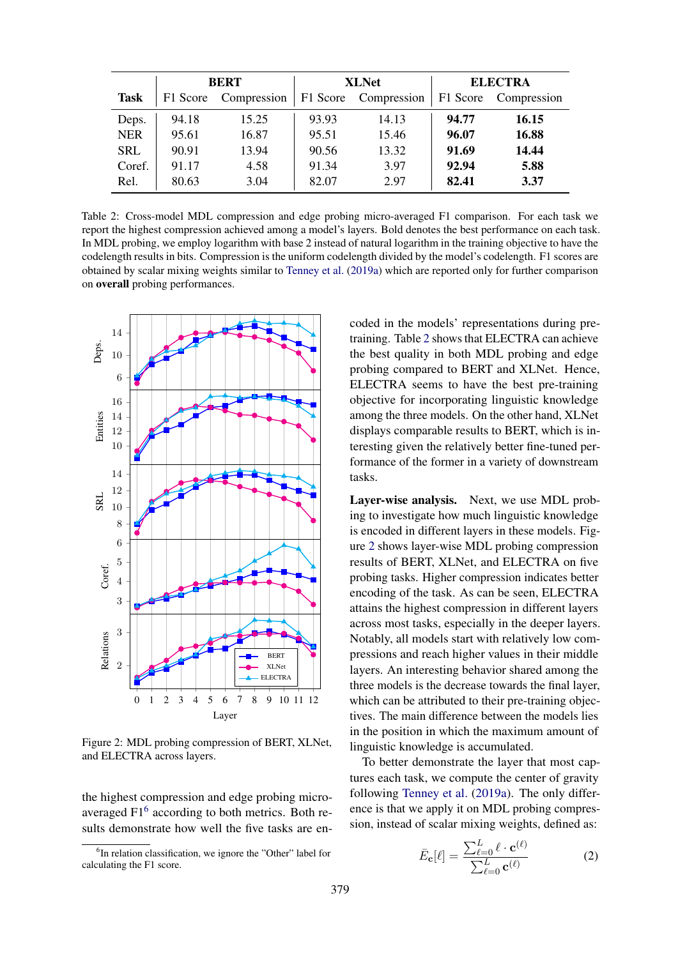<span id="page-4-0"></span>

|             | <b>BERT</b> |             | <b>XLNet</b> |             | <b>ELECTRA</b> |             |
|-------------|-------------|-------------|--------------|-------------|----------------|-------------|
| <b>Task</b> | F1 Score    | Compression | F1 Score     | Compression | F1 Score       | Compression |
| Deps.       | 94.18       | 15.25       | 93.93        | 14.13       | 94.77          | 16.15       |
| <b>NER</b>  | 95.61       | 16.87       | 95.51        | 15.46       | 96.07          | 16.88       |
| <b>SRL</b>  | 90.91       | 13.94       | 90.56        | 13.32       | 91.69          | 14.44       |
| Coref.      | 91.17       | 4.58        | 91.34        | 3.97        | 92.94          | 5.88        |
| Rel.        | 80.63       | 3.04        | 82.07        | 2.97        | 82.41          | 3.37        |

Table 2: Cross-model MDL compression and edge probing micro-averaged F1 comparison. For each task we report the highest compression achieved among a model's layers. Bold denotes the best performance on each task. In MDL probing, we employ logarithm with base 2 instead of natural logarithm in the training objective to have the codelength results in bits. Compression is the uniform codelength divided by the model's codelength. F1 scores are obtained by scalar mixing weights similar to [Tenney et al.](#page-9-2) [\(2019a\)](#page-9-2) which are reported only for further comparison on overall probing performances.

<span id="page-4-2"></span>

Figure 2: MDL probing compression of BERT, XLNet, and ELECTRA across layers.

the highest compression and edge probing micro-averaged F1<sup>[6](#page-4-1)</sup> according to both metrics. Both results demonstrate how well the five tasks are en-

coded in the models' representations during pretraining. Table [2](#page-4-0) shows that ELECTRA can achieve the best quality in both MDL probing and edge probing compared to BERT and XLNet. Hence, ELECTRA seems to have the best pre-training objective for incorporating linguistic knowledge among the three models. On the other hand, XLNet displays comparable results to BERT, which is interesting given the relatively better fine-tuned performance of the former in a variety of downstream tasks.

Layer-wise analysis. Next, we use MDL probing to investigate how much linguistic knowledge is encoded in different layers in these models. Figure [2](#page-4-2) shows layer-wise MDL probing compression results of BERT, XLNet, and ELECTRA on five probing tasks. Higher compression indicates better encoding of the task. As can be seen, ELECTRA attains the highest compression in different layers across most tasks, especially in the deeper layers. Notably, all models start with relatively low compressions and reach higher values in their middle layers. An interesting behavior shared among the three models is the decrease towards the final layer, which can be attributed to their pre-training objectives. The main difference between the models lies in the position in which the maximum amount of linguistic knowledge is accumulated.

To better demonstrate the layer that most captures each task, we compute the center of gravity following [Tenney et al.](#page-9-2) [\(2019a\)](#page-9-2). The only difference is that we apply it on MDL probing compression, instead of scalar mixing weights, defined as:

$$
\bar{E}_{\mathbf{c}}[\ell] = \frac{\sum_{\ell=0}^{L} \ell \cdot \mathbf{c}^{(\ell)}}{\sum_{\ell=0}^{L} \mathbf{c}^{(\ell)}} \tag{2}
$$

<span id="page-4-1"></span><sup>&</sup>lt;sup>6</sup>In relation classification, we ignore the "Other" label for calculating the F1 score.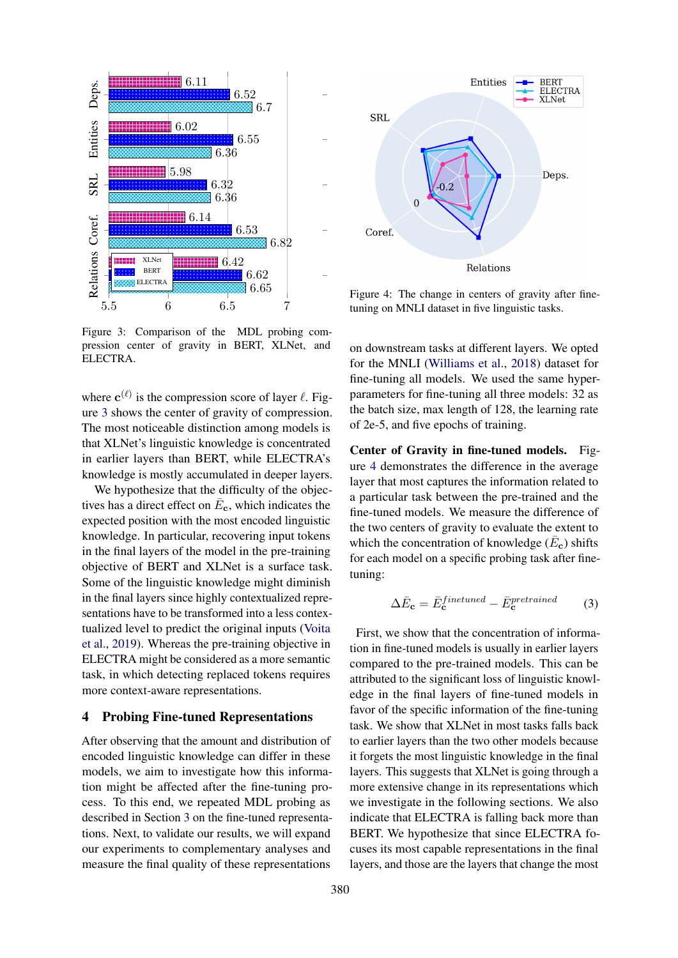<span id="page-5-0"></span>

Figure 3: Comparison of the MDL probing compression center of gravity in BERT, XLNet, and ELECTRA.

where  $\mathbf{c}^{(\ell)}$  is the compression score of layer  $\ell$ . Figure [3](#page-5-0) shows the center of gravity of compression. The most noticeable distinction among models is that XLNet's linguistic knowledge is concentrated in earlier layers than BERT, while ELECTRA's knowledge is mostly accumulated in deeper layers.

We hypothesize that the difficulty of the objectives has a direct effect on  $\bar{E}_{c}$ , which indicates the expected position with the most encoded linguistic knowledge. In particular, recovering input tokens in the final layers of the model in the pre-training objective of BERT and XLNet is a surface task. Some of the linguistic knowledge might diminish in the final layers since highly contextualized representations have to be transformed into a less contextualized level to predict the original inputs [\(Voita](#page-9-14) [et al.,](#page-9-14) [2019\)](#page-9-14). Whereas the pre-training objective in ELECTRA might be considered as a more semantic task, in which detecting replaced tokens requires more context-aware representations.

# 4 Probing Fine-tuned Representations

After observing that the amount and distribution of encoded linguistic knowledge can differ in these models, we aim to investigate how this information might be affected after the fine-tuning process. To this end, we repeated MDL probing as described in Section [3](#page-3-3) on the fine-tuned representations. Next, to validate our results, we will expand our experiments to complementary analyses and measure the final quality of these representations

<span id="page-5-1"></span>

Figure 4: The change in centers of gravity after finetuning on MNLI dataset in five linguistic tasks.

on downstream tasks at different layers. We opted for the MNLI [\(Williams et al.,](#page-10-3) [2018\)](#page-10-3) dataset for fine-tuning all models. We used the same hyperparameters for fine-tuning all three models: 32 as the batch size, max length of 128, the learning rate of 2e-5, and five epochs of training.

Center of Gravity in fine-tuned models. Figure [4](#page-5-1) demonstrates the difference in the average layer that most captures the information related to a particular task between the pre-trained and the fine-tuned models. We measure the difference of the two centers of gravity to evaluate the extent to which the concentration of knowledge  $(\bar{E}_{c})$  shifts for each model on a specific probing task after finetuning:

$$
\Delta \bar{E}_{\mathbf{c}} = \bar{E}_{\mathbf{c}}^{finetuned} - \bar{E}_{\mathbf{c}}^{pretrained}
$$
 (3)

First, we show that the concentration of information in fine-tuned models is usually in earlier layers compared to the pre-trained models. This can be attributed to the significant loss of linguistic knowledge in the final layers of fine-tuned models in favor of the specific information of the fine-tuning task. We show that XLNet in most tasks falls back to earlier layers than the two other models because it forgets the most linguistic knowledge in the final layers. This suggests that XLNet is going through a more extensive change in its representations which we investigate in the following sections. We also indicate that ELECTRA is falling back more than BERT. We hypothesize that since ELECTRA focuses its most capable representations in the final layers, and those are the layers that change the most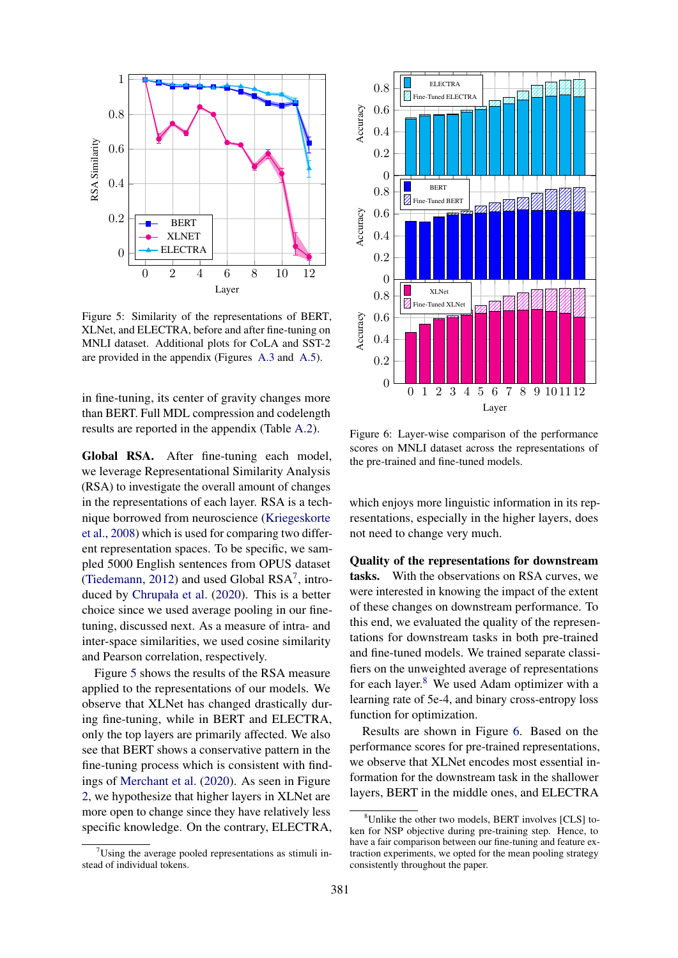<span id="page-6-1"></span>

Figure 5: Similarity of the representations of BERT, XLNet, and ELECTRA, before and after fine-tuning on MNLI dataset. Additional plots for CoLA and SST-2 are provided in the appendix (Figures [A.3](#page-11-1) and [A.5\)](#page-12-1).

in fine-tuning, its center of gravity changes more than BERT. Full MDL compression and codelength results are reported in the appendix (Table [A.2\)](#page-13-0).

Global RSA. After fine-tuning each model, we leverage Representational Similarity Analysis (RSA) to investigate the overall amount of changes in the representations of each layer. RSA is a technique borrowed from neuroscience [\(Kriegeskorte](#page-8-6) [et al.,](#page-8-6) [2008\)](#page-8-6) which is used for comparing two different representation spaces. To be specific, we sampled 5000 English sentences from OPUS dataset [\(Tiedemann,](#page-9-11) [2012\)](#page-9-11) and used Global  $RSA^7$  $RSA^7$ , introduced by [Chrupała et al.](#page-8-13) [\(2020\)](#page-8-13). This is a better choice since we used average pooling in our finetuning, discussed next. As a measure of intra- and inter-space similarities, we used cosine similarity and Pearson correlation, respectively.

Figure [5](#page-6-1) shows the results of the RSA measure applied to the representations of our models. We observe that XLNet has changed drastically during fine-tuning, while in BERT and ELECTRA, only the top layers are primarily affected. We also see that BERT shows a conservative pattern in the fine-tuning process which is consistent with findings of [Merchant et al.](#page-8-14) [\(2020\)](#page-8-14). As seen in Figure [2,](#page-4-2) we hypothesize that higher layers in XLNet are more open to change since they have relatively less specific knowledge. On the contrary, ELECTRA,

<span id="page-6-3"></span>

Figure 6: Layer-wise comparison of the performance scores on MNLI dataset across the representations of the pre-trained and fine-tuned models.

which enjoys more linguistic information in its representations, especially in the higher layers, does not need to change very much.

Quality of the representations for downstream tasks. With the observations on RSA curves, we were interested in knowing the impact of the extent of these changes on downstream performance. To this end, we evaluated the quality of the representations for downstream tasks in both pre-trained and fine-tuned models. We trained separate classifiers on the unweighted average of representations for each layer.<sup>[8](#page-6-2)</sup> We used Adam optimizer with a learning rate of 5e-4, and binary cross-entropy loss function for optimization.

Results are shown in Figure [6.](#page-6-3) Based on the performance scores for pre-trained representations, we observe that XLNet encodes most essential information for the downstream task in the shallower layers, BERT in the middle ones, and ELECTRA

<span id="page-6-0"></span> $7$ Using the average pooled representations as stimuli instead of individual tokens.

<span id="page-6-2"></span><sup>8</sup>Unlike the other two models, BERT involves [CLS] token for NSP objective during pre-training step. Hence, to have a fair comparison between our fine-tuning and feature extraction experiments, we opted for the mean pooling strategy consistently throughout the paper.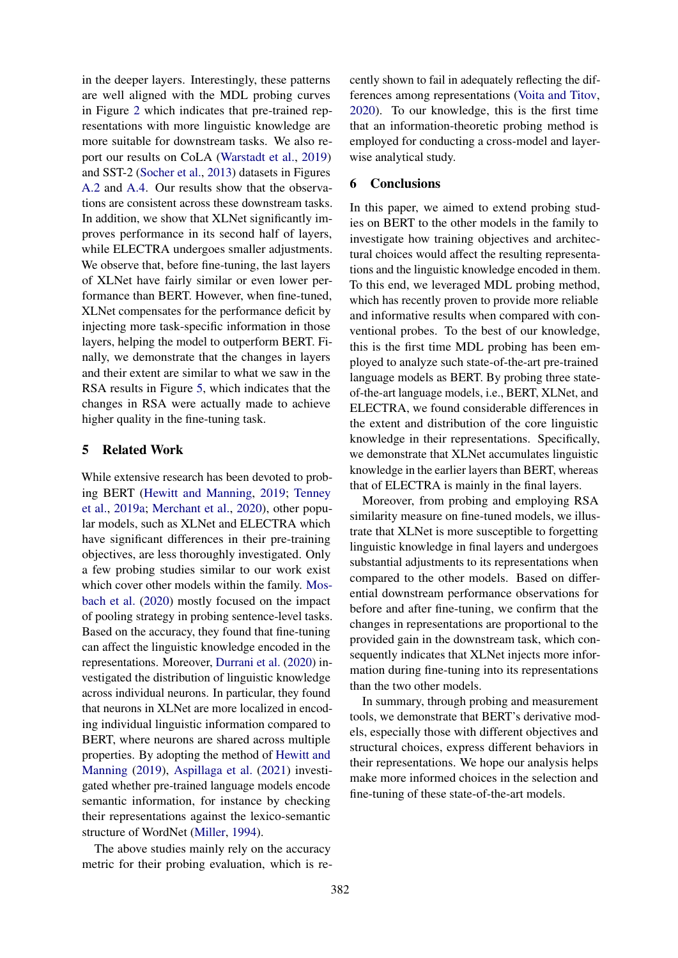in the deeper layers. Interestingly, these patterns are well aligned with the MDL probing curves in Figure [2](#page-4-2) which indicates that pre-trained representations with more linguistic knowledge are more suitable for downstream tasks. We also report our results on CoLA [\(Warstadt et al.,](#page-9-15) [2019\)](#page-9-15) and SST-2 [\(Socher et al.,](#page-9-16) [2013\)](#page-9-16) datasets in Figures [A.2](#page-11-2) and [A.4.](#page-12-2) Our results show that the observations are consistent across these downstream tasks. In addition, we show that XLNet significantly improves performance in its second half of layers, while ELECTRA undergoes smaller adjustments. We observe that, before fine-tuning, the last layers of XLNet have fairly similar or even lower performance than BERT. However, when fine-tuned, XLNet compensates for the performance deficit by injecting more task-specific information in those layers, helping the model to outperform BERT. Finally, we demonstrate that the changes in layers and their extent are similar to what we saw in the RSA results in Figure [5,](#page-6-1) which indicates that the changes in RSA were actually made to achieve higher quality in the fine-tuning task.

# 5 Related Work

While extensive research has been devoted to probing BERT [\(Hewitt and Manning,](#page-8-1) [2019;](#page-8-1) [Tenney](#page-9-2) [et al.,](#page-9-2) [2019a;](#page-9-2) [Merchant et al.,](#page-8-14) [2020\)](#page-8-14), other popular models, such as XLNet and ELECTRA which have significant differences in their pre-training objectives, are less thoroughly investigated. Only a few probing studies similar to our work exist which cover other models within the family. [Mos](#page-9-17)[bach et al.](#page-9-17) [\(2020\)](#page-9-17) mostly focused on the impact of pooling strategy in probing sentence-level tasks. Based on the accuracy, they found that fine-tuning can affect the linguistic knowledge encoded in the representations. Moreover, [Durrani et al.](#page-8-15) [\(2020\)](#page-8-15) investigated the distribution of linguistic knowledge across individual neurons. In particular, they found that neurons in XLNet are more localized in encoding individual linguistic information compared to BERT, where neurons are shared across multiple properties. By adopting the method of [Hewitt and](#page-8-1) [Manning](#page-8-1) [\(2019\)](#page-8-1), [Aspillaga et al.](#page-8-16) [\(2021\)](#page-8-16) investigated whether pre-trained language models encode semantic information, for instance by checking their representations against the lexico-semantic structure of WordNet [\(Miller,](#page-9-18) [1994\)](#page-9-18).

The above studies mainly rely on the accuracy metric for their probing evaluation, which is recently shown to fail in adequately reflecting the differences among representations [\(Voita and Titov,](#page-9-7) [2020\)](#page-9-7). To our knowledge, this is the first time that an information-theoretic probing method is employed for conducting a cross-model and layerwise analytical study.

# 6 Conclusions

In this paper, we aimed to extend probing studies on BERT to the other models in the family to investigate how training objectives and architectural choices would affect the resulting representations and the linguistic knowledge encoded in them. To this end, we leveraged MDL probing method, which has recently proven to provide more reliable and informative results when compared with conventional probes. To the best of our knowledge, this is the first time MDL probing has been employed to analyze such state-of-the-art pre-trained language models as BERT. By probing three stateof-the-art language models, i.e., BERT, XLNet, and ELECTRA, we found considerable differences in the extent and distribution of the core linguistic knowledge in their representations. Specifically, we demonstrate that XLNet accumulates linguistic knowledge in the earlier layers than BERT, whereas that of ELECTRA is mainly in the final layers.

Moreover, from probing and employing RSA similarity measure on fine-tuned models, we illustrate that XLNet is more susceptible to forgetting linguistic knowledge in final layers and undergoes substantial adjustments to its representations when compared to the other models. Based on differential downstream performance observations for before and after fine-tuning, we confirm that the changes in representations are proportional to the provided gain in the downstream task, which consequently indicates that XLNet injects more information during fine-tuning into its representations than the two other models.

In summary, through probing and measurement tools, we demonstrate that BERT's derivative models, especially those with different objectives and structural choices, express different behaviors in their representations. We hope our analysis helps make more informed choices in the selection and fine-tuning of these state-of-the-art models.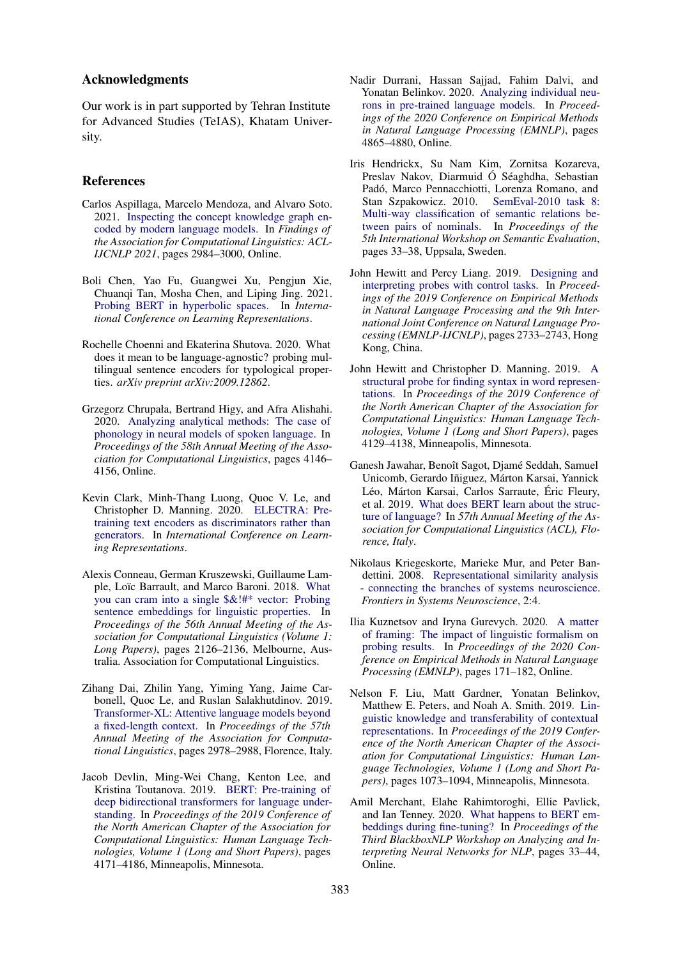# Acknowledgments

Our work is in part supported by Tehran Institute for Advanced Studies (TeIAS), Khatam University.

#### References

- <span id="page-8-16"></span>Carlos Aspillaga, Marcelo Mendoza, and Alvaro Soto. 2021. [Inspecting the concept knowledge graph en](https://doi.org/10.18653/v1/2021.findings-acl.263)[coded by modern language models.](https://doi.org/10.18653/v1/2021.findings-acl.263) In *Findings of the Association for Computational Linguistics: ACL-IJCNLP 2021*, pages 2984–3000, Online.
- <span id="page-8-2"></span>Boli Chen, Yao Fu, Guangwei Xu, Pengjun Xie, Chuanqi Tan, Mosha Chen, and Liping Jing. 2021. [Probing BERT in hyperbolic spaces.](https://openreview.net/forum?id=17VnwXYZyhH) In *International Conference on Learning Representations*.
- <span id="page-8-5"></span>Rochelle Choenni and Ekaterina Shutova. 2020. What does it mean to be language-agnostic? probing multilingual sentence encoders for typological properties. *arXiv preprint arXiv:2009.12862*.
- <span id="page-8-13"></span>Grzegorz Chrupała, Bertrand Higy, and Afra Alishahi. 2020. [Analyzing analytical methods: The case of](https://doi.org/10.18653/v1/2020.acl-main.381) [phonology in neural models of spoken language.](https://doi.org/10.18653/v1/2020.acl-main.381) In *Proceedings of the 58th Annual Meeting of the Association for Computational Linguistics*, pages 4146– 4156, Online.
- <span id="page-8-3"></span>Kevin Clark, Minh-Thang Luong, Quoc V. Le, and Christopher D. Manning. 2020. [ELECTRA: Pre](https://openreview.net/forum?id=r1xMH1BtvB)[training text encoders as discriminators rather than](https://openreview.net/forum?id=r1xMH1BtvB) [generators.](https://openreview.net/forum?id=r1xMH1BtvB) In *International Conference on Learning Representations*.
- <span id="page-8-8"></span>Alexis Conneau, German Kruszewski, Guillaume Lam-ple, Loïc Barrault, and Marco Baroni. 2018. [What](https://doi.org/10.18653/v1/P18-1198) [you can cram into a single \\$&!#\\* vector: Probing](https://doi.org/10.18653/v1/P18-1198) [sentence embeddings for linguistic properties.](https://doi.org/10.18653/v1/P18-1198) In *Proceedings of the 56th Annual Meeting of the Association for Computational Linguistics (Volume 1: Long Papers)*, pages 2126–2136, Melbourne, Australia. Association for Computational Linguistics.
- <span id="page-8-7"></span>Zihang Dai, Zhilin Yang, Yiming Yang, Jaime Carbonell, Quoc Le, and Ruslan Salakhutdinov. 2019. [Transformer-XL: Attentive language models beyond](https://doi.org/10.18653/v1/P19-1285) [a fixed-length context.](https://doi.org/10.18653/v1/P19-1285) In *Proceedings of the 57th Annual Meeting of the Association for Computational Linguistics*, pages 2978–2988, Florence, Italy.
- <span id="page-8-0"></span>Jacob Devlin, Ming-Wei Chang, Kenton Lee, and Kristina Toutanova. 2019. [BERT: Pre-training of](https://doi.org/10.18653/v1/N19-1423) [deep bidirectional transformers for language under](https://doi.org/10.18653/v1/N19-1423)[standing.](https://doi.org/10.18653/v1/N19-1423) In *Proceedings of the 2019 Conference of the North American Chapter of the Association for Computational Linguistics: Human Language Technologies, Volume 1 (Long and Short Papers)*, pages 4171–4186, Minneapolis, Minnesota.
- <span id="page-8-15"></span>Nadir Durrani, Hassan Sajjad, Fahim Dalvi, and Yonatan Belinkov. 2020. [Analyzing individual neu](https://doi.org/10.18653/v1/2020.emnlp-main.395)[rons in pre-trained language models.](https://doi.org/10.18653/v1/2020.emnlp-main.395) In *Proceedings of the 2020 Conference on Empirical Methods in Natural Language Processing (EMNLP)*, pages 4865–4880, Online.
- <span id="page-8-12"></span>Iris Hendrickx, Su Nam Kim, Zornitsa Kozareva, Preslav Nakov, Diarmuid Ó Séaghdha, Sebastian Padó, Marco Pennacchiotti, Lorenza Romano, and Stan Szpakowicz. 2010. [SemEval-2010 task 8:](https://aclanthology.org/S10-1006) [Multi-way classification of semantic relations be](https://aclanthology.org/S10-1006)[tween pairs of nominals.](https://aclanthology.org/S10-1006) In *Proceedings of the 5th International Workshop on Semantic Evaluation*, pages 33–38, Uppsala, Sweden.
- <span id="page-8-10"></span>John Hewitt and Percy Liang. 2019. [Designing and](https://doi.org/10.18653/v1/D19-1275) [interpreting probes with control tasks.](https://doi.org/10.18653/v1/D19-1275) In *Proceedings of the 2019 Conference on Empirical Methods in Natural Language Processing and the 9th International Joint Conference on Natural Language Processing (EMNLP-IJCNLP)*, pages 2733–2743, Hong Kong, China.
- <span id="page-8-1"></span>John Hewitt and Christopher D. Manning. 2019. [A](https://doi.org/10.18653/v1/N19-1419) [structural probe for finding syntax in word represen](https://doi.org/10.18653/v1/N19-1419)[tations.](https://doi.org/10.18653/v1/N19-1419) In *Proceedings of the 2019 Conference of the North American Chapter of the Association for Computational Linguistics: Human Language Technologies, Volume 1 (Long and Short Papers)*, pages 4129–4138, Minneapolis, Minnesota.
- <span id="page-8-9"></span>Ganesh Jawahar, Benoît Sagot, Djamé Seddah, Samuel Unicomb, Gerardo Iñiguez, Márton Karsai, Yannick Léo, Márton Karsai, Carlos Sarraute, Éric Fleury, et al. 2019. [What does BERT learn about the struc](https://www.aclweb.org/anthology/P19-1356.pdf)[ture of language?](https://www.aclweb.org/anthology/P19-1356.pdf) In *57th Annual Meeting of the Association for Computational Linguistics (ACL), Florence, Italy*.
- <span id="page-8-6"></span>Nikolaus Kriegeskorte, Marieke Mur, and Peter Bandettini. 2008. [Representational similarity analysis](https://doi.org/10.3389/neuro.06.004.2008) [- connecting the branches of systems neuroscience.](https://doi.org/10.3389/neuro.06.004.2008) *Frontiers in Systems Neuroscience*, 2:4.
- <span id="page-8-4"></span>Ilia Kuznetsov and Iryna Gurevych. 2020. [A matter](https://doi.org/10.18653/v1/2020.emnlp-main.13) [of framing: The impact of linguistic formalism on](https://doi.org/10.18653/v1/2020.emnlp-main.13) [probing results.](https://doi.org/10.18653/v1/2020.emnlp-main.13) In *Proceedings of the 2020 Conference on Empirical Methods in Natural Language Processing (EMNLP)*, pages 171–182, Online.
- <span id="page-8-11"></span>Nelson F. Liu, Matt Gardner, Yonatan Belinkov, Matthew E. Peters, and Noah A. Smith. 2019. [Lin](https://doi.org/10.18653/v1/N19-1112)[guistic knowledge and transferability of contextual](https://doi.org/10.18653/v1/N19-1112) [representations.](https://doi.org/10.18653/v1/N19-1112) In *Proceedings of the 2019 Conference of the North American Chapter of the Association for Computational Linguistics: Human Language Technologies, Volume 1 (Long and Short Papers)*, pages 1073–1094, Minneapolis, Minnesota.
- <span id="page-8-14"></span>Amil Merchant, Elahe Rahimtoroghi, Ellie Pavlick, and Ian Tenney. 2020. [What happens to BERT em](https://doi.org/10.18653/v1/2020.blackboxnlp-1.4)[beddings during fine-tuning?](https://doi.org/10.18653/v1/2020.blackboxnlp-1.4) In *Proceedings of the Third BlackboxNLP Workshop on Analyzing and Interpreting Neural Networks for NLP*, pages 33–44, Online.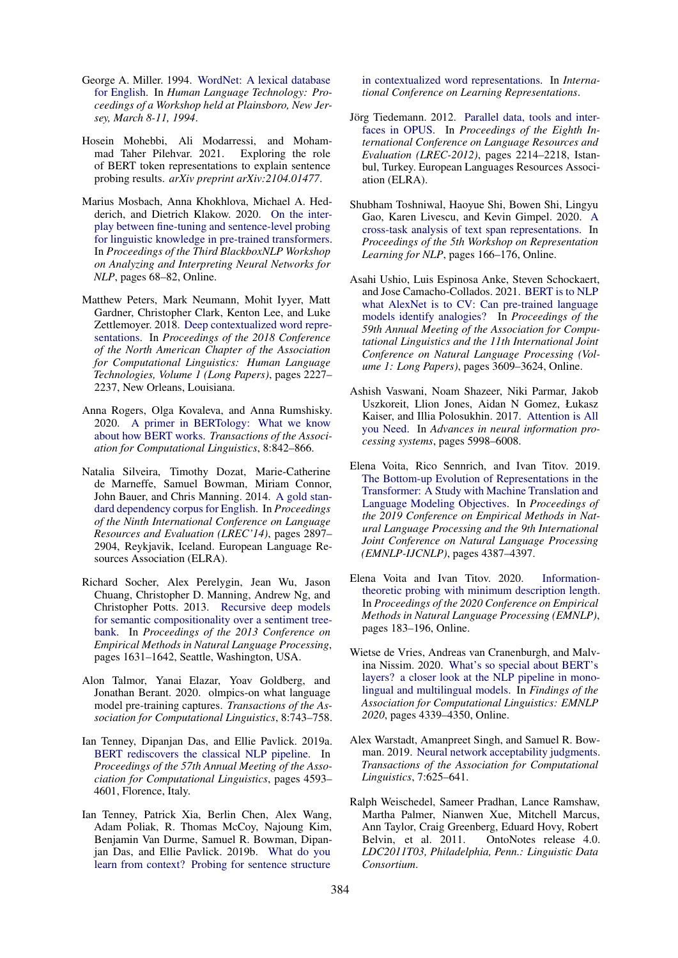- <span id="page-9-18"></span>George A. Miller. 1994. [WordNet: A lexical database](https://aclanthology.org/H94-1111) [for English.](https://aclanthology.org/H94-1111) In *Human Language Technology: Proceedings of a Workshop held at Plainsboro, New Jersey, March 8-11, 1994*.
- <span id="page-9-4"></span>Hosein Mohebbi, Ali Modarressi, and Mohammad Taher Pilehvar. 2021. Exploring the role of BERT token representations to explain sentence probing results. *arXiv preprint arXiv:2104.01477*.
- <span id="page-9-17"></span>Marius Mosbach, Anna Khokhlova, Michael A. Hedderich, and Dietrich Klakow. 2020. [On the inter](https://doi.org/10.18653/v1/2020.blackboxnlp-1.7)[play between fine-tuning and sentence-level probing](https://doi.org/10.18653/v1/2020.blackboxnlp-1.7) [for linguistic knowledge in pre-trained transformers.](https://doi.org/10.18653/v1/2020.blackboxnlp-1.7) In *Proceedings of the Third BlackboxNLP Workshop on Analyzing and Interpreting Neural Networks for NLP*, pages 68–82, Online.
- <span id="page-9-9"></span>Matthew Peters, Mark Neumann, Mohit Iyyer, Matt Gardner, Christopher Clark, Kenton Lee, and Luke Zettlemoyer. 2018. [Deep contextualized word repre](https://doi.org/10.18653/v1/N18-1202)[sentations.](https://doi.org/10.18653/v1/N18-1202) In *Proceedings of the 2018 Conference of the North American Chapter of the Association for Computational Linguistics: Human Language Technologies, Volume 1 (Long Papers)*, pages 2227– 2237, New Orleans, Louisiana.
- <span id="page-9-0"></span>Anna Rogers, Olga Kovaleva, and Anna Rumshisky. 2020. [A primer in BERTology: What we know](https://doi.org/10.1162/tacl_a_00349) [about how BERT works.](https://doi.org/10.1162/tacl_a_00349) *Transactions of the Association for Computational Linguistics*, 8:842–866.
- <span id="page-9-13"></span>Natalia Silveira, Timothy Dozat, Marie-Catherine de Marneffe, Samuel Bowman, Miriam Connor, John Bauer, and Chris Manning. 2014. [A gold stan](http://www.lrec-conf.org/proceedings/lrec2014/pdf/1089_Paper.pdf)[dard dependency corpus for English.](http://www.lrec-conf.org/proceedings/lrec2014/pdf/1089_Paper.pdf) In *Proceedings of the Ninth International Conference on Language Resources and Evaluation (LREC'14)*, pages 2897– 2904, Reykjavik, Iceland. European Language Resources Association (ELRA).
- <span id="page-9-16"></span>Richard Socher, Alex Perelygin, Jean Wu, Jason Chuang, Christopher D. Manning, Andrew Ng, and Christopher Potts. 2013. [Recursive deep models](https://aclanthology.org/D13-1170) [for semantic compositionality over a sentiment tree](https://aclanthology.org/D13-1170)[bank.](https://aclanthology.org/D13-1170) In *Proceedings of the 2013 Conference on Empirical Methods in Natural Language Processing*, pages 1631–1642, Seattle, Washington, USA.
- <span id="page-9-3"></span>Alon Talmor, Yanai Elazar, Yoav Goldberg, and Jonathan Berant. 2020. olmpics-on what language model pre-training captures. *Transactions of the Association for Computational Linguistics*, 8:743–758.
- <span id="page-9-2"></span>Ian Tenney, Dipanjan Das, and Ellie Pavlick. 2019a. [BERT rediscovers the classical NLP pipeline.](https://doi.org/10.18653/v1/P19-1452) In *Proceedings of the 57th Annual Meeting of the Association for Computational Linguistics*, pages 4593– 4601, Florence, Italy.
- <span id="page-9-1"></span>Ian Tenney, Patrick Xia, Berlin Chen, Alex Wang, Adam Poliak, R. Thomas McCoy, Najoung Kim, Benjamin Van Durme, Samuel R. Bowman, Dipanjan Das, and Ellie Pavlick. 2019b. [What do you](https://openreview.net/forum?id=SJzSgnRcKX) [learn from context? Probing for sentence structure](https://openreview.net/forum?id=SJzSgnRcKX)

[in contextualized word representations.](https://openreview.net/forum?id=SJzSgnRcKX) In *International Conference on Learning Representations*.

- <span id="page-9-11"></span>Jörg Tiedemann. 2012. [Parallel data, tools and inter](http://www.lrec-conf.org/proceedings/lrec2012/pdf/463_Paper.pdf)[faces in OPUS.](http://www.lrec-conf.org/proceedings/lrec2012/pdf/463_Paper.pdf) In *Proceedings of the Eighth International Conference on Language Resources and Evaluation (LREC-2012)*, pages 2214–2218, Istanbul, Turkey. European Languages Resources Association (ELRA).
- <span id="page-9-10"></span>Shubham Toshniwal, Haoyue Shi, Bowen Shi, Lingyu Gao, Karen Livescu, and Kevin Gimpel. 2020. [A](https://doi.org/10.18653/v1/2020.repl4nlp-1.20) [cross-task analysis of text span representations.](https://doi.org/10.18653/v1/2020.repl4nlp-1.20) In *Proceedings of the 5th Workshop on Representation Learning for NLP*, pages 166–176, Online.
- <span id="page-9-5"></span>Asahi Ushio, Luis Espinosa Anke, Steven Schockaert, and Jose Camacho-Collados. 2021. [BERT is to NLP](https://doi.org/10.18653/v1/2021.acl-long.280) [what AlexNet is to CV: Can pre-trained language](https://doi.org/10.18653/v1/2021.acl-long.280) [models identify analogies?](https://doi.org/10.18653/v1/2021.acl-long.280) In *Proceedings of the 59th Annual Meeting of the Association for Computational Linguistics and the 11th International Joint Conference on Natural Language Processing (Volume 1: Long Papers)*, pages 3609–3624, Online.
- <span id="page-9-8"></span>Ashish Vaswani, Noam Shazeer, Niki Parmar, Jakob Uszkoreit, Llion Jones, Aidan N Gomez, Łukasz Kaiser, and Illia Polosukhin. 2017. [Attention is All](http://papers.nips.cc/paper/7181-attention-is-all-you-need) [you Need.](http://papers.nips.cc/paper/7181-attention-is-all-you-need) In *Advances in neural information processing systems*, pages 5998–6008.
- <span id="page-9-14"></span>Elena Voita, Rico Sennrich, and Ivan Titov. 2019. [The Bottom-up Evolution of Representations in the](https://arxiv.org/abs/1909.01380) [Transformer: A Study with Machine Translation and](https://arxiv.org/abs/1909.01380) [Language Modeling Objectives.](https://arxiv.org/abs/1909.01380) In *Proceedings of the 2019 Conference on Empirical Methods in Natural Language Processing and the 9th International Joint Conference on Natural Language Processing (EMNLP-IJCNLP)*, pages 4387–4397.
- <span id="page-9-7"></span>Elena Voita and Ivan Titov. 2020. [Information](https://doi.org/10.18653/v1/2020.emnlp-main.14)[theoretic probing with minimum description length.](https://doi.org/10.18653/v1/2020.emnlp-main.14) In *Proceedings of the 2020 Conference on Empirical Methods in Natural Language Processing (EMNLP)*, pages 183–196, Online.
- <span id="page-9-6"></span>Wietse de Vries, Andreas van Cranenburgh, and Malvina Nissim. 2020. [What's so special about BERT's](https://doi.org/10.18653/v1/2020.findings-emnlp.389) [layers? a closer look at the NLP pipeline in mono](https://doi.org/10.18653/v1/2020.findings-emnlp.389)[lingual and multilingual models.](https://doi.org/10.18653/v1/2020.findings-emnlp.389) In *Findings of the Association for Computational Linguistics: EMNLP 2020*, pages 4339–4350, Online.
- <span id="page-9-15"></span>Alex Warstadt, Amanpreet Singh, and Samuel R. Bowman. 2019. [Neural network acceptability judgments.](https://doi.org/10.1162/tacl_a_00290) *Transactions of the Association for Computational Linguistics*, 7:625–641.
- <span id="page-9-12"></span>Ralph Weischedel, Sameer Pradhan, Lance Ramshaw, Martha Palmer, Nianwen Xue, Mitchell Marcus, Ann Taylor, Craig Greenberg, Eduard Hovy, Robert<br>Belvin, et al. 2011. OntoNotes release 4.0. OntoNotes release 4.0. *LDC2011T03, Philadelphia, Penn.: Linguistic Data Consortium*.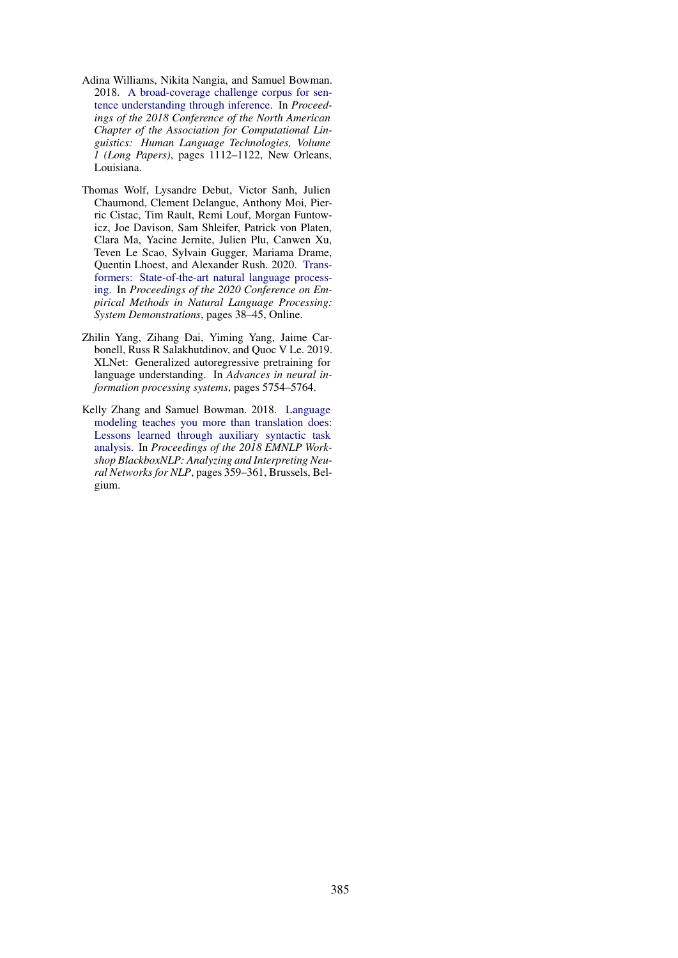- <span id="page-10-3"></span>Adina Williams, Nikita Nangia, and Samuel Bowman. 2018. [A broad-coverage challenge corpus for sen](https://doi.org/10.18653/v1/N18-1101)[tence understanding through inference.](https://doi.org/10.18653/v1/N18-1101) In *Proceedings of the 2018 Conference of the North American Chapter of the Association for Computational Linguistics: Human Language Technologies, Volume 1 (Long Papers)*, pages 1112–1122, New Orleans, Louisiana.
- <span id="page-10-1"></span>Thomas Wolf, Lysandre Debut, Victor Sanh, Julien Chaumond, Clement Delangue, Anthony Moi, Pierric Cistac, Tim Rault, Remi Louf, Morgan Funtowicz, Joe Davison, Sam Shleifer, Patrick von Platen, Clara Ma, Yacine Jernite, Julien Plu, Canwen Xu, Teven Le Scao, Sylvain Gugger, Mariama Drame, Quentin Lhoest, and Alexander Rush. 2020. [Trans](https://doi.org/10.18653/v1/2020.emnlp-demos.6)[formers: State-of-the-art natural language process](https://doi.org/10.18653/v1/2020.emnlp-demos.6)[ing.](https://doi.org/10.18653/v1/2020.emnlp-demos.6) In *Proceedings of the 2020 Conference on Empirical Methods in Natural Language Processing: System Demonstrations*, pages 38–45, Online.
- <span id="page-10-0"></span>Zhilin Yang, Zihang Dai, Yiming Yang, Jaime Carbonell, Russ R Salakhutdinov, and Quoc V Le. 2019. XLNet: Generalized autoregressive pretraining for language understanding. In *Advances in neural information processing systems*, pages 5754–5764.
- <span id="page-10-2"></span>Kelly Zhang and Samuel Bowman. 2018. [Language](https://doi.org/10.18653/v1/W18-5448) [modeling teaches you more than translation does:](https://doi.org/10.18653/v1/W18-5448) [Lessons learned through auxiliary syntactic task](https://doi.org/10.18653/v1/W18-5448) [analysis.](https://doi.org/10.18653/v1/W18-5448) In *Proceedings of the 2018 EMNLP Workshop BlackboxNLP: Analyzing and Interpreting Neural Networks for NLP*, pages 359–361, Brussels, Belgium.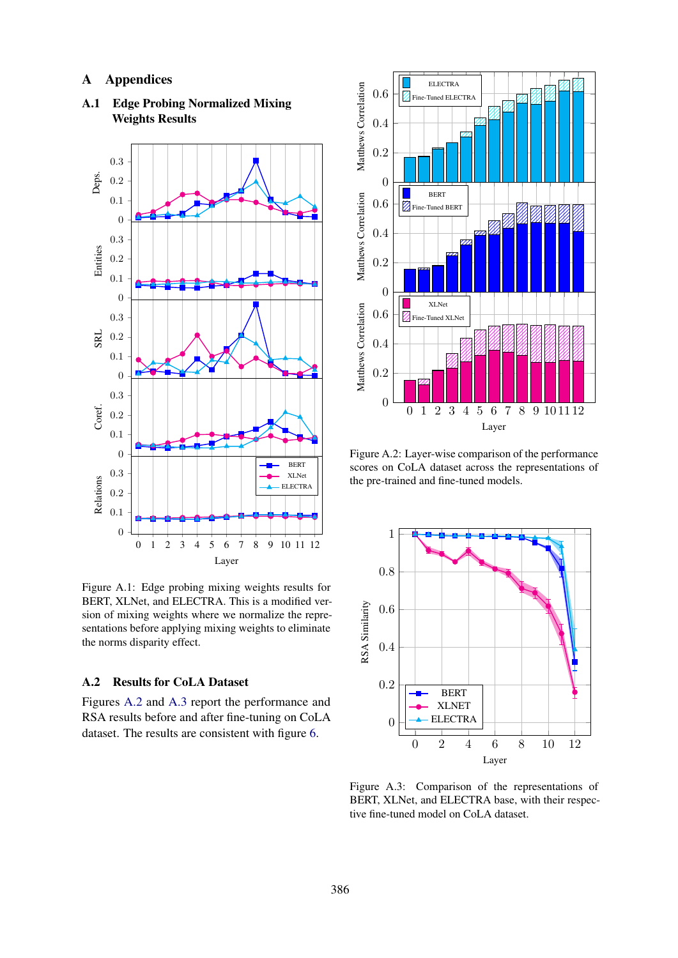# A Appendices

<span id="page-11-0"></span>

A.1 Edge Probing Normalized Mixing Weights Results

Figure A.1: Edge probing mixing weights results for BERT, XLNet, and ELECTRA. This is a modified version of mixing weights where we normalize the representations before applying mixing weights to eliminate the norms disparity effect.

## A.2 Results for CoLA Dataset

Figures [A.2](#page-11-2) and [A.3](#page-11-1) report the performance and RSA results before and after fine-tuning on CoLA dataset. The results are consistent with figure [6.](#page-6-3)

<span id="page-11-2"></span>

Figure A.2: Layer-wise comparison of the performance scores on CoLA dataset across the representations of the pre-trained and fine-tuned models.

<span id="page-11-1"></span>

Figure A.3: Comparison of the representations of BERT, XLNet, and ELECTRA base, with their respective fine-tuned model on CoLA dataset.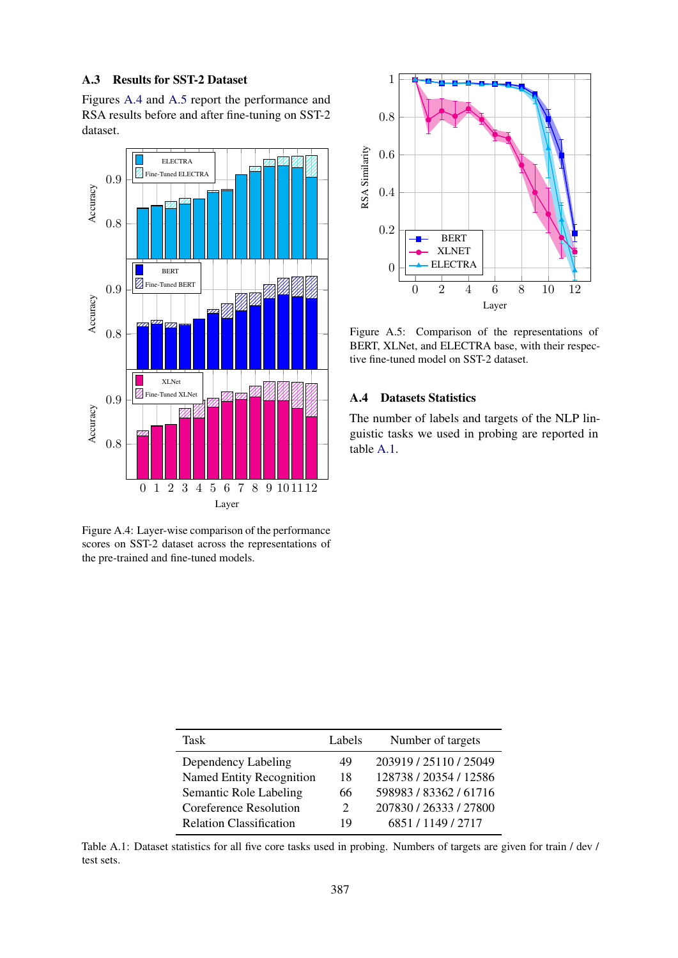### A.3 Results for SST-2 Dataset

Figures [A.4](#page-12-2) and [A.5](#page-12-1) report the performance and RSA results before and after fine-tuning on SST-2 dataset.

<span id="page-12-2"></span>

Figure A.4: Layer-wise comparison of the performance scores on SST-2 dataset across the representations of the pre-trained and fine-tuned models.

<span id="page-12-1"></span>

Figure A.5: Comparison of the representations of BERT, XLNet, and ELECTRA base, with their respective fine-tuned model on SST-2 dataset.

# A.4 Datasets Statistics

The number of labels and targets of the NLP linguistic tasks we used in probing are reported in table [A.1.](#page-12-0)

<span id="page-12-0"></span>

| Task                           | Labels                      | Number of targets      |
|--------------------------------|-----------------------------|------------------------|
| Dependency Labeling            | 49                          | 203919 / 25110 / 25049 |
| Named Entity Recognition       | 18                          | 128738 / 20354 / 12586 |
| Semantic Role Labeling         | 66                          | 598983 / 83362 / 61716 |
| Coreference Resolution         | $\mathcal{D}_{\mathcal{L}}$ | 207830 / 26333 / 27800 |
| <b>Relation Classification</b> | 19                          | 6851/1149/2717         |

Table A.1: Dataset statistics for all five core tasks used in probing. Numbers of targets are given for train / dev / test sets.